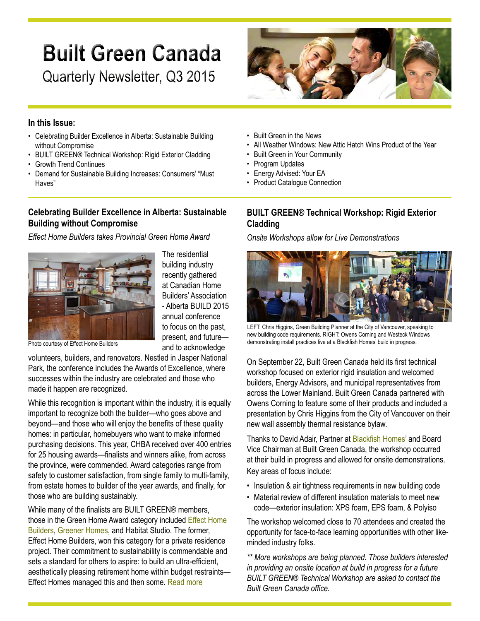# **Built Green Canada**

Quarterly Newsletter, Q3 2015



#### **In this Issue:**

- Celebrating Builder Excellence in Alberta: Sustainable Building without Compromise
- BUILT GREEN® Technical Workshop: Rigid Exterior Cladding
- • Growth Trend Continues
- Demand for Sustainable Building Increases: Consumers' "Must Haves"

## **Celebrating Builder Excellence in Alberta: Sustainable Building without Compromise**

*Effect Home Builders takes Provincial Green Home Award*



The residential building industry recently gathered at Canadian Home Builders' Association - Alberta BUILD 2015 annual conference to focus on the past, present, and future and to acknowledge

Photo courtesy of Effect Home Builders

volunteers, builders, and renovators. Nestled in Jasper National Park, the conference includes the Awards of Excellence, where successes within the industry are celebrated and those who made it happen are recognized.

While this recognition is important within the industry, it is equally important to recognize both the builder—who goes above and beyond—and those who will enjoy the benefits of these quality homes: in particular, homebuyers who want to make informed purchasing decisions. This year, CHBA received over 400 entries for 25 housing awards—finalists and winners alike, from across the province, were commended. Award categories range from safety to customer satisfaction, from single family to multi-family, from estate homes to builder of the year awards, and finally, for those who are building sustainably.

While many of the finalists are BUILT GREEN® members, those in the Green Home Award category included Effect [Home](http://builtgreencanada.ca/effect-home-builders?id=723) [Builders,](http://builtgreencanada.ca/effect-home-builders?id=723) [Greener](http://builtgreencanada.ca/greener-homes-ltd?id=723) Homes, and Habitat Studio. The former, Effect Home Builders, won this category for a private residence project. Their commitment to sustainability is commendable and sets a standard for others to aspire: to build an ultra-efficient, aesthetically pleasing retirement home within budget restraints— Effect Homes managed this and then some. [Read](http://builtgreencanada.ca/celebrating-builder-excellence-in-alberta-sustainable-building-without-compromise?id=1456) more

- • Built Green in the News
- All Weather Windows: New Attic Hatch Wins Product of the Year
- • Built Green in Your Community
- Program Updates
- • Energy Advised: Your EA
- Product Catalogue Connection

## **BUILT GREEN® Technical Workshop: Rigid Exterior Cladding**

*Onsite Workshops allow for Live Demonstrations*



LEFT: Chris Higgins, Green Building Planner at the City of Vancouver, speaking to new building code requirements. RIGHT: Owens Corning and Westeck Windows demonstrating install practices live at a Blackfish Homes' build in progress.

On September 22, Built Green Canada held its first technical workshop focused on exterior rigid insulation and welcomed builders, Energy Advisors, and municipal representatives from across the Lower Mainland. Built Green Canada partnered with Owens Corning to feature some of their products and included a presentation by Chris Higgins from the City of Vancouver on their new wall assembly thermal resistance bylaw.

Thanks to David Adair, Partner at [Blackfish](http://builtgreencanada.ca/blackfish-homes?id=727) Homes' and Board Vice Chairman at Built Green Canada, the workshop occurred at their build in progress and allowed for onsite demonstrations. Key areas of focus include:

- Insulation & air tightness requirements in new building code
- Material review of different insulation materials to meet new code—exterior insulation: XPS foam, EPS foam, & Polyiso

The workshop welcomed close to 70 attendees and created the opportunity for face-to-face learning opportunities with other likeminded industry folks.

*\*\* More workshops are being planned. Those builders interested in providing an onsite location at build in progress for a future BUILT GREEN® Technical Workshop are asked to contact the Built Green Canada office.*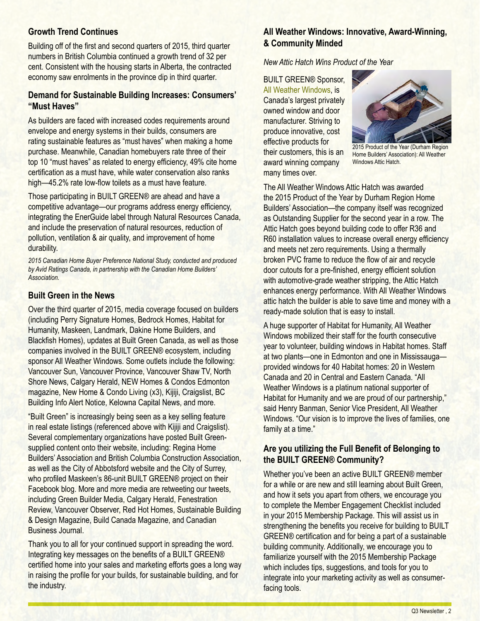## **Growth Trend Continues**

Building off of the first and second quarters of 2015, third quarter numbers in British Columbia continued a growth trend of 32 per cent. Consistent with the housing starts in Alberta, the contracted economy saw enrolments in the province dip in third quarter.

#### **Demand for Sustainable Building Increases: Consumers' "Must Haves"**

As builders are faced with increased codes requirements around envelope and energy systems in their builds, consumers are rating sustainable features as "must haves" when making a home purchase. Meanwhile, Canadian homebuyers rate three of their top 10 "must haves" as related to energy efficiency, 49% cite home certification as a must have, while water conservation also ranks high—45.2% rate low-flow toilets as a must have feature.

Those participating in BUILT GREEN® are ahead and have a competitive advantage—our programs address energy efficiency, integrating the EnerGuide label through Natural Resources Canada, and include the preservation of natural resources, reduction of pollution, ventilation & air quality, and improvement of home durability.

*2015 Canadian Home Buyer Preference National Study, conducted and produced by Avid Ratings Canada, in partnership with the Canadian Home Builders' Association.*

#### **Built Green in the News**

Over the third quarter of 2015, media coverage focused on builders (including Perry Signature Homes, Bedrock Homes, Habitat for Humanity, Maskeen, Landmark, Dakine Home Builders, and Blackfish Homes), updates at Built Green Canada, as well as those companies involved in the BUILT GREEN® ecosystem, including sponsor All Weather Windows. Some outlets include the following: Vancouver Sun, Vancouver Province, Vancouver Shaw TV, North Shore News, Calgary Herald, NEW Homes & Condos Edmonton magazine, New Home & Condo Living (x3), Kijiji, Craigslist, BC Building Info Alert Notice, Kelowna Capital News, and more.

"Built Green" is increasingly being seen as a key selling feature in real estate listings (referenced above with Kijiji and Craigslist). Several complementary organizations have posted Built Greensupplied content onto their website, including: Regina Home Builders' Association and British Columbia Construction Association, as well as the City of Abbotsford website and the City of Surrey, who profiled Maskeen's 86-unit BUILT GREEN® project on their Facebook blog. More and more media are retweeting our tweets, including Green Builder Media, Calgary Herald, Fenestration Review, Vancouver Observer, Red Hot Homes, Sustainable Building & Design Magazine, Build Canada Magazine, and Canadian Business Journal.

Thank you to all for your continued support in spreading the word. Integrating key messages on the benefits of a BUILT GREEN® certified home into your sales and marketing efforts goes a long way in raising the profile for your builds, for sustainable building, and for the industry.

## **All Weather Windows: Innovative, Award-Winning, & Community Minded**

*New Attic Hatch Wins Product of the Year* 

BUILT GREEN® Sponsor, All Weather [Windows,](http://builtgreencanada.ca/featured-sponsor-all-weather-windows) is Canada's largest privately owned window and door manufacturer. Striving to produce innovative, cost effective products for their customers, this is an award winning company many times over.



2015 Product of the Year (Durham Region Home Builders' Association): All Weather Windows Attic Hatch.

The All Weather Windows Attic Hatch was awarded the 2015 Product of the Year by Durham Region Home Builders' Association—the company itself was recognized as Outstanding Supplier for the second year in a row. The Attic Hatch goes beyond building code to offer R36 and R60 installation values to increase overall energy efficiency and meets net zero requirements. Using a thermally broken PVC frame to reduce the flow of air and recycle door cutouts for a pre-finished, energy efficient solution with automotive-grade weather stripping, the Attic Hatch enhances energy performance. With All Weather Windows attic hatch the builder is able to save time and money with a ready-made solution that is easy to install.

A huge supporter of Habitat for Humanity, All Weather Windows mobilized their staff for the fourth consecutive year to volunteer, building windows in Habitat homes. Staff at two plants—one in Edmonton and one in Mississauga provided windows for 40 Habitat homes: 20 in Western Canada and 20 in Central and Eastern Canada. "All Weather Windows is a platinum national supporter of Habitat for Humanity and we are proud of our partnership," said Henry Banman, Senior Vice President, All Weather Windows. "Our vision is to improve the lives of families, one family at a time."

## **Are you utilizing the Full Benefit of Belonging to the BUILT GREEN® Community?**

Whether you've been an active BUILT GREEN® member for a while or are new and still learning about Built Green, and how it sets you apart from others, we encourage you to complete the Member Engagement Checklist included in your 2015 Membership Package. This will assist us in strengthening the benefits you receive for building to BUILT GREEN® certification and for being a part of a sustainable building community. Additionally, we encourage you to familiarize yourself with the 2015 Membership Package which includes tips, suggestions, and tools for you to integrate into your marketing activity as well as consumerfacing tools.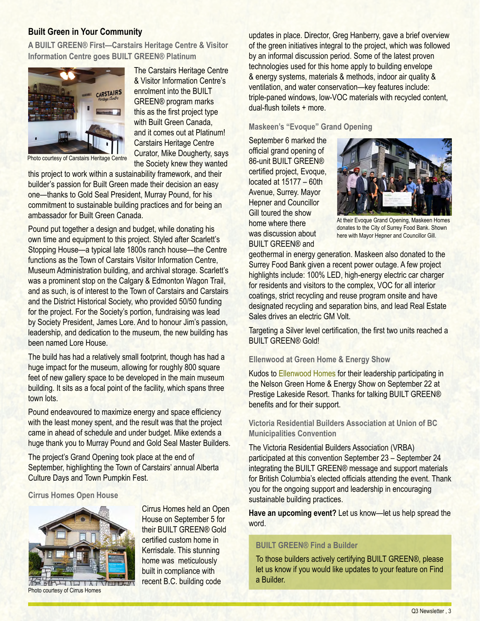#### **Built Green in Your Community**

**A BUILT GREEN® First—Carstairs Heritage Centre & Visitor Information Centre goes BUILT GREEN® Platinum**



The Carstairs Heritage Centre & Visitor Information Centre's enrolment into the BUILT GREEN® program marks this as the first project type with Built Green Canada. and it comes out at Platinum! Carstairs Heritage Centre Curator, Mike Dougherty, says the Society knew they wanted

Photo courtesy of Carstairs Heritage Centre

this project to work within a sustainability framework, and their builder's passion for Built Green made their decision an easy one—thanks to Gold Seal President, Murray Pound, for his commitment to sustainable building practices and for being an ambassador for Built Green Canada.

Pound put together a design and budget, while donating his own time and equipment to this project. Styled after Scarlett's Stopping House—a typical late 1800s ranch house—the Centre functions as the Town of Carstairs Visitor Information Centre, Museum Administration building, and archival storage. Scarlett's was a prominent stop on the Calgary & Edmonton Wagon Trail. and as such, is of interest to the Town of Carstairs and Carstairs and the District Historical Society, who provided 50/50 funding for the project. For the Society's portion, fundraising was lead by Society President, James Lore. And to honour Jim's passion, leadership, and dedication to the museum, the new building has been named Lore House.

The build has had a relatively small footprint, though has had a huge impact for the museum, allowing for roughly 800 square feet of new gallery space to be developed in the main museum building. It sits as a focal point of the facility, which spans three town lots.

Pound endeavoured to maximize energy and space efficiency with the least money spent, and the result was that the project came in ahead of schedule and under budget. Mike extends a huge thank you to Murray Pound and Gold Seal Master Builders.

The project's Grand Opening took place at the end of September, highlighting the Town of Carstairs' annual Alberta Culture Days and Town Pumpkin Fest.

> Cirrus Homes held an Open House on September 5 for their BUILT GREEN® Gold certified custom home in Kerrisdale. This stunning home was meticulously built in compliance with recent B.C. building code

**Cirrus Homes Open House**



Photo courtesy of Cirrus Homes

by an informal discussion period. Some of the latest proven technologies used for this home apply to building envelope & energy systems, materials & methods, indoor air quality & ventilation, and water conservation—key features include: triple-paned windows, low-VOC materials with recycled content, dual-flush toilets + more.

updates in place. Director, Greg Hanberry, gave a brief overview of the green initiatives integral to the project, which was followed

#### **Maskeen's "Evoque" Grand Opening**

September 6 marked the official grand opening of 86-unit BUILT GREEN® certified project, Evoque, located at 15177 – 60th Avenue, Surrey. Mayor Hepner and Councillor Gill toured the show home where there was discussion about BUILT GREEN® and



At their Evoque Grand Opening, Maskeen Homes donates to the City of Surrey Food Bank. Shown here with Mayor Hepner and Councillor Gill.

geothermal in energy generation. Maskeen also donated to the Surrey Food Bank given a recent power outage. A few project highlights include: 100% LED, high-energy electric car charger for residents and visitors to the complex, VOC for all interior coatings, strict recycling and reuse program onsite and have designated recycling and separation bins, and lead Real Estate Sales drives an electric GM Volt.

Targeting a Silver level certification, the first two units reached a BUILT GREEN® Gold!

#### **Ellenwood at Green Home & Energy Show**

Kudos to [Ellenwood](http://builtgreencanada.ca/ellenwood-homes?id=727) Homes for their leadership participating in the Nelson Green Home & Energy Show on September 22 at Prestige Lakeside Resort. Thanks for talking BUILT GREEN® benefits and for their support.

**Victoria Residential Builders Association at Union of BC Municipalities Convention**

The Victoria Residential Builders Association (VRBA) participated at this convention September 23 – September 24 integrating the BUILT GREEN® message and support materials for British Columbia's elected officials attending the event. Thank you for the ongoing support and leadership in encouraging sustainable building practices.

**Have an upcoming event?** Let us know—let us help spread the word.

#### **BUILT GREEN® Find a Builder**

To those builders actively certifying BUILT GREEN®, please let us know if you would like updates to your feature on Find a Builder.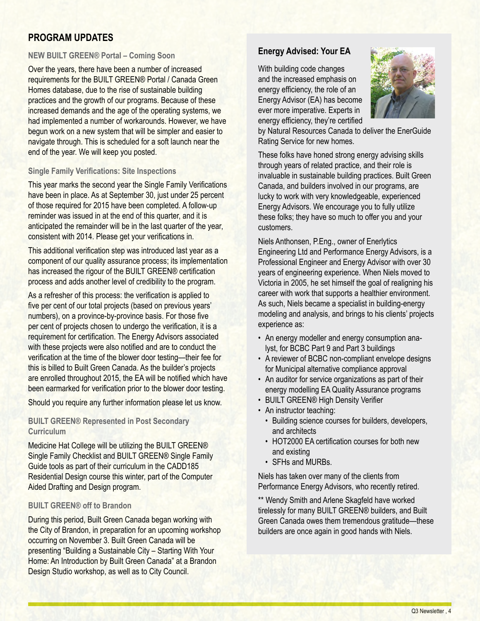# **PROGRAM UPDATES**

#### **NEW BUILT GREEN® Portal – Coming Soon**

Over the years, there have been a number of increased requirements for the BUILT GREEN® Portal / Canada Green Homes database, due to the rise of sustainable building practices and the growth of our programs. Because of these increased demands and the age of the operating systems, we had implemented a number of workarounds. However, we have begun work on a new system that will be simpler and easier to navigate through. This is scheduled for a soft launch near the end of the year. We will keep you posted.

#### **Single Family Verifications: Site Inspections**

This year marks the second year the Single Family Verifications have been in place. As at September 30, just under 25 percent of those required for 2015 have been completed. A follow-up reminder was issued in at the end of this quarter, and it is anticipated the remainder will be in the last quarter of the year, consistent with 2014. Please get your verifications in.

This additional verification step was introduced last year as a component of our quality assurance process; its implementation has increased the rigour of the BUILT GREEN® certification process and adds another level of credibility to the program.

As a refresher of this process: the verification is applied to five per cent of our total projects (based on previous years' numbers), on a province-by-province basis. For those five per cent of projects chosen to undergo the verification, it is a requirement for certification. The Energy Advisors associated with these projects were also notified and are to conduct the verification at the time of the blower door testing—their fee for this is billed to Built Green Canada. As the builder's projects are enrolled throughout 2015, the EA will be notified which have been earmarked for verification prior to the blower door testing.

Should you require any further information please let us know.

#### **BUILT GREEN® Represented in Post Secondary Curriculum**

Medicine Hat College will be utilizing the BUILT GREEN® Single Family Checklist and BUILT GREEN® Single Family Guide tools as part of their curriculum in the CADD185 Residential Design course this winter, part of the Computer Aided Drafting and Design program.

#### **BUILT GREEN® off to Brandon**

During this period, Built Green Canada began working with the City of Brandon, in preparation for an upcoming workshop occurring on November 3. Built Green Canada will be presenting "Building a Sustainable City – Starting With Your Home: An Introduction by Built Green Canada" at a Brandon Design Studio workshop, as well as to City Council.

#### **Energy Advised: Your EA**

With building code changes and the increased emphasis on energy efficiency, the role of an Energy Advisor (EA) has become ever more imperative. Experts in energy efficiency, they're certified



by Natural Resources Canada to deliver the EnerGuide Rating Service for new homes.

These folks have honed strong energy advising skills through years of related practice, and their role is invaluable in sustainable building practices. Built Green Canada, and builders involved in our programs, are lucky to work with very knowledgeable, experienced Energy Advisors. We encourage you to fully utilize these folks; they have so much to offer you and your customers.

Niels Anthonsen, P.Eng., owner of Enerlytics Engineering Ltd and Performance Energy Advisors, is a Professional Engineer and Energy Advisor with over 30 years of engineering experience. When Niels moved to Victoria in 2005, he set himself the goal of realigning his career with work that supports a healthier environment. As such, Niels became a specialist in building-energy modeling and analysis, and brings to his clients' projects experience as:

- An energy modeller and energy consumption analyst, for BCBC Part 9 and Part 3 buildings
- A reviewer of BCBC non-compliant envelope designs for Municipal alternative compliance approval
- An auditor for service organizations as part of their energy modelling EA Quality Assurance programs
- BUILT GREEN® High Density Verifier
- An instructor teaching:
	- • Building science courses for builders, developers, and architects
	- HOT2000 EA certification courses for both new and existing
	- SFHs and MURBs.

Niels has taken over many of the clients from Performance Energy Advisors, who recently retired.

\*\* Wendy Smith and Arlene Skagfeld have worked tirelessly for many BUILT GREEN® builders, and Built Green Canada owes them tremendous gratitude—these builders are once again in good hands with Niels.